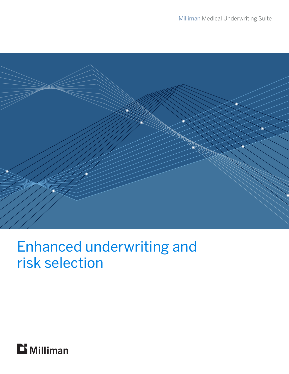

# Enhanced underwriting and risk selection

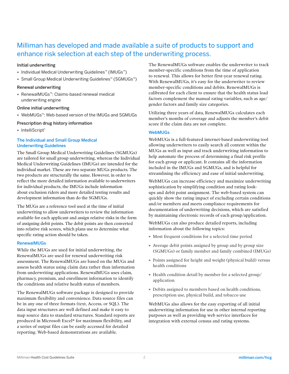## Milliman has developed and made available a suite of products to support and enhance risk selection at each step of the underwriting process.

#### Initial underwriting

- · Individual Medical Underwriting Guidelines™ (IMUGs™)
- · Small Group Medical Underwriting Guidelines™ (SGMUGs™)

#### Renewal underwriting

· RenewalMUGs™: Claims-based renewal medical underwriting engine

#### Online initial underwriting

· WebMUGs™: Web-based version of the IMUGs and SGMUGs

#### Prescription drug history information

· IntelliScript®

#### The Individual and Small Group Medical Underwriting Guidelines

The Small Group Medical Underwriting Guidelines (SGMUGs) are tailored for small group underwriting, whereas the Individual Medical Underwriting Guidelines (IMUGs) are intended for the individual market. These are two separate MUGs products. The two products are structurally the same. However, in order to reflect the more detailed information available to underwriters for individual products, the IMUGs include information about exclusion riders and more detailed testing results and development information than do the SGMUGs.

The MUGs are a reference tool used at the time of initial underwriting to allow underwriters to review the information available for each applicant and assign relative risks in the form of assigning debit points. The debit points are then converted into relative risk scores, which plans use to determine what specific rating action should be taken.

#### **RenewalMUGs**

While the MUGs are used for initial underwriting, the RenewalMUGs are used for renewal underwriting risk assessment. The RenewalMUGs are based on the MUGs and assess health status using claim data rather than information from underwriting applications. RenewalMUGs uses claim, pharmacy, premium, and enrollment information to identify the conditions and relative health status of members.

The RenewalMUGs software package is designed to provide maximum flexibility and convenience. Data source files can be in any one of three formats (text, Access, or SQL). The data input structures are well defined and make it easy to map source data to standard structures. Standard reports are produced in Microsoft Excel® for maximum flexibility, and a series of output files can be easily accessed for detailed reporting. Web-based demonstrations are available.

The RenewalMUGs software enables the underwriter to track member-specific conditions from the time of application to renewal. This allows for better first-year renewal rating. With RenewalMUGs, it's easy for the underwriter to review member-specific conditions and debits. RenewalMUGs is calibrated for each client to ensure that the health status load factors complement the manual rating variables, such as age/ gender factors and family size categories.

Utilizing three years of data, RenewalMUGs calculates each member's months of coverage and adjusts the member's debit score if the claim data are not complete.

#### WebMUGs

WebMUGs is a full-featured internet-based underwriting tool allowing underwriters to easily search all content within the MUGs as well as input and track underwriting information to help automate the process of determining a final risk profile for each group or applicant. It contains all the information included in the IMUGs and SGMUGs, and is helpful for streamlining the efficiency and ease of initial underwriting.

WebMUGs can increase efficiency and maximize underwriting sophistication by simplifying condition and rating lookups and debit point assignment. The web-based system can quickly show the rating impact of excluding certain conditions and/or members and meets compliance requirements for documentation of underwriting decisions, which are satisfied by maintaining electronic records of each group/application.

WebMUGs can also produce detailed reports, including information about the following topics:

- · Most frequent conditions for a selected time period
- · Average debit points assigned by group and by group size (SGMUGs) or family member and family combined (IMUGs)
- · Points assigned for height and weight (physical build) versus health conditions
- · Health condition detail by member for a selected group/ application
- · Debits assigned to members based on health conditions, prescription use, physical build, and tobacco use

WebMUGs also allows for the easy exporting of all initial underwriting information for use in other internal reporting purposes as well as providing web service interfaces for integration with external census and rating systems.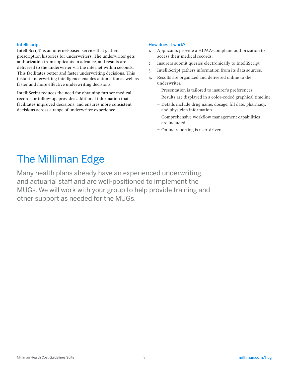#### Intelliscript

IntelliScript® is an internet-based service that gathers prescription histories for underwriters. The underwriter gets authorization from applicants in advance, and results are delivered to the underwriter via the internet within seconds. This facilitates better and faster underwriting decisions. This instant underwriting intelligence enables automation as well as faster and more effective underwriting decisions.

IntelliScript reduces the need for obtaining further medical records or follow-up, provides additional information that facilitates improved decisions, and ensures more consistent decisions across a range of underwriter experience.

#### How does it work?

- 1. Applicants provide a HIPAA-compliant authorization to access their medical records.
- 2. Insurers submit queries electronically to IntelliScript.
- 3. IntelliScript gathers information from its data sources.
- 4. Results are organized and delivered online to the underwriter.
	- − Presentation is tailored to insurer's preferences
	- − Results are displayed in a color-coded graphical timeline.
	- − Details include drug name, dosage, fill date, pharmacy, and physician information.
	- − Comprehensive workflow management capabilities are included.
	- − Online reporting is user-driven.

## The Milliman Edge

Many health plans already have an experienced underwriting and actuarial staff and are well-positioned to implement the MUGs. We will work with your group to help provide training and other support as needed for the MUGs.